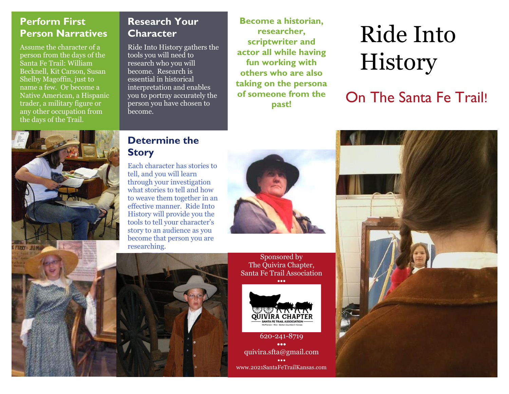#### **Perform First Person Narratives**

Assume the character of a person from the days of the Santa Fe Trail: William Becknell, Kit Carson, Susan Shelby Magoffin, just to name a few. Or become a Native American, a Hispanic trader, a military figure or any other occupation from the days of the Trail.

## **Research Your Character**

Ride Into History gathers the tools you will need to research who you will become. Research is essential in historical interpretation and enables you to portray accurately the person you have chosen to become.

**Become a historian, researcher, scriptwriter and actor all while having fun working with others who are also taking on the persona of someone from the past!**

# Ride Into History

On The Santa Fe Trail!



#### **Determine the Story**

Each character has stories to tell, and you will learn through your investigation what stories to tell and how to weave them together in an effective manner. Ride Into History will provide you the tools to tell your character's story to an audience as you become that person you are



Sponsored by The Quivira Chapter, Santa Fe Trail Association **•••**



620-241-8719 **•••** quivira.sfta@gmail.com ••• www.2021SantaFeTrailKansas.com